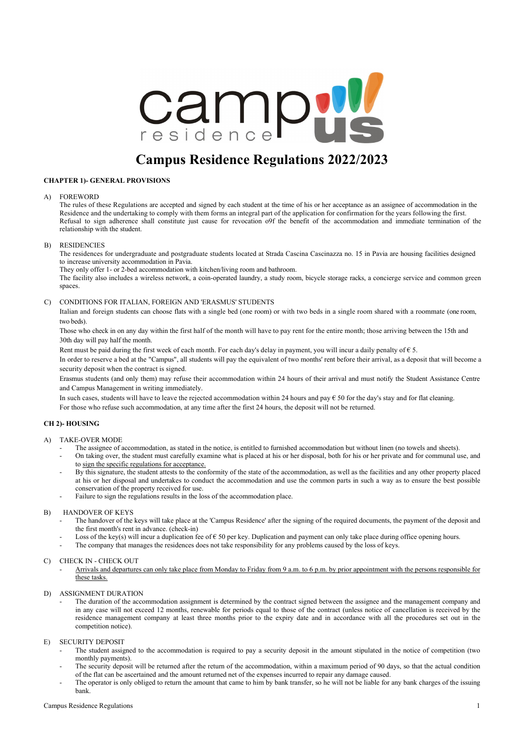

# **Campus Residence Regulations 2022/2023**

#### **CHAPTER 1)- GENERAL PROVISIONS**

#### A) FOREWORD

The rules of these Regulations are accepted and signed by each student at the time of his or her acceptance as an assignee of accommodation in the Residence and the undertaking to comply with them forms an integral part of the application for confirmation for the years following the first. Refusal to sign adherence shall constitute just cause for revocation o9f the benefit of the accommodation and immediate termination of the relationship with the student.

#### B) RESIDENCIES

The residences for undergraduate and postgraduate students located at Strada Cascina Cascinazza no. 15 in Pavia are housing facilities designed to increase university accommodation in Pavia.

They only offer 1- or 2-bed accommodation with kitchen/living room and bathroom.

The facility also includes a wireless network, a coin-operated laundry, a study room, bicycle storage racks, a concierge service and common green spaces.

#### C) CONDITIONS FOR ITALIAN, FOREIGN AND 'ERASMUS' STUDENTS

Italian and foreign students can choose flats with a single bed (one room) or with two beds in a single room shared with a roommate (one room, two beds).

Those who check in on any day within the first half of the month will have to pay rent for the entire month; those arriving between the 15th and 30th day will pay half the month.

Rent must be paid during the first week of each month. For each day's delay in payment, you will incur a daily penalty of  $\epsilon$  5.

In order to reserve a bed at the "Campus", all students will pay the equivalent of two months' rent before their arrival, as a deposit that will become a security deposit when the contract is signed.

Erasmus students (and only them) may refuse their accommodation within 24 hours of their arrival and must notify the Student Assistance Centre and Campus Management in writing immediately.

In such cases, students will have to leave the rejected accommodation within 24 hours and pay  $\epsilon$  50 for the day's stay and for flat cleaning.

For those who refuse such accommodation, at any time after the first 24 hours, the deposit will not be returned.

### **CH 2)- HOUSING**

#### A) TAKE-OVER MODE

- The assignee of accommodation, as stated in the notice, is entitled to furnished accommodation but without linen (no towels and sheets).
- On taking over, the student must carefully examine what is placed at his or her disposal, both for his or her private and for communal use, and to sign the specific regulations for acceptance.
- By this signature, the student attests to the conformity of the state of the accommodation, as well as the facilities and any other property placed at his or her disposal and undertakes to conduct the accommodation and use the common parts in such a way as to ensure the best possible conservation of the property received for use.
- Failure to sign the regulations results in the loss of the accommodation place.

#### B) HANDOVER OF KEYS

- The handover of the keys will take place at the 'Campus Residence' after the signing of the required documents, the payment of the deposit and the first month's rent in advance. (check-in)
- Loss of the key(s) will incur a duplication fee of  $\epsilon$  50 per key. Duplication and payment can only take place during office opening hours.
- The company that manages the residences does not take responsibility for any problems caused by the loss of keys.

#### C) CHECK IN - CHECK OUT

- Arrivals and departures can only take place from Monday to Friday from 9 a.m. to 6 p.m. by prior appointment with the persons responsible for these tasks.
- D) ASSIGNMENT DURATION
	- The duration of the accommodation assignment is determined by the contract signed between the assignee and the management company and in any case will not exceed 12 months, renewable for periods equal to those of the contract (unless notice of cancellation is received by the residence management company at least three months prior to the expiry date and in accordance with all the procedures set out in the competition notice).

## E) SECURITY DEPOSIT

- The student assigned to the accommodation is required to pay a security deposit in the amount stipulated in the notice of competition (two monthly payments).
- The security deposit will be returned after the return of the accommodation, within a maximum period of 90 days, so that the actual condition of the flat can be ascertained and the amount returned net of the expenses incurred to repair any damage caused.
- The operator is only obliged to return the amount that came to him by bank transfer, so he will not be liable for any bank charges of the issuing bank.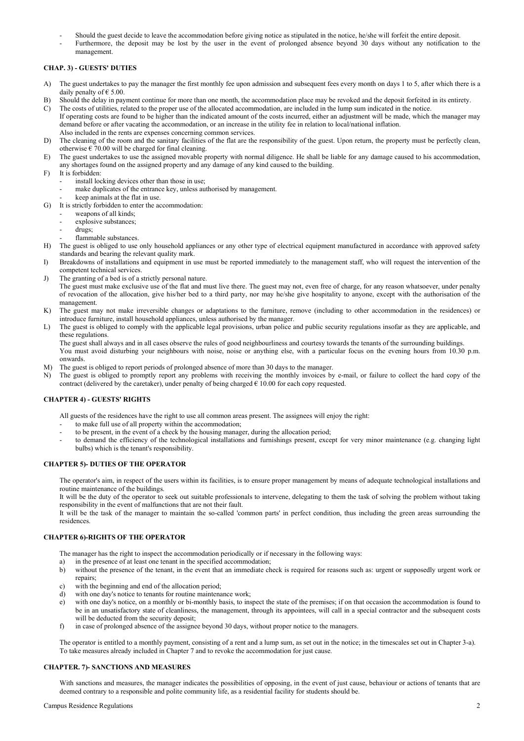- Should the guest decide to leave the accommodation before giving notice as stipulated in the notice, he/she will forfeit the entire deposit.
- Furthermore, the deposit may be lost by the user in the event of prolonged absence beyond 30 days without any notification to the management.

# **CHAP. 3) - GUESTS' DUTIES**

- A) The guest undertakes to pay the manager the first monthly fee upon admission and subsequent fees every month on days 1 to 5, after which there is a daily penalty of  $\epsilon$  5.00.
- B) Should the delay in payment continue for more than one month, the accommodation place may be revoked and the deposit forfeited in its entirety.
- C) The costs of utilities, related to the proper use of the allocated accommodation, are included in the lump sum indicated in the notice. If operating costs are found to be higher than the indicated amount of the costs incurred, either an adjustment will be made, which the manager may demand before or after vacating the accommodation, or an increase in the utility fee in relation to local/national inflation. Also included in the rents are expenses concerning common services.
- D) The cleaning of the room and the sanitary facilities of the flat are the responsibility of the guest. Upon return, the property must be perfectly clean, otherwise  $\epsilon$  70.00 will be charged for final cleaning.
- E) The guest undertakes to use the assigned movable property with normal diligence. He shall be liable for any damage caused to his accommodation, any shortages found on the assigned property and any damage of any kind caused to the building.
- F) It is forbidden:
	- install locking devices other than those in use:
		- make duplicates of the entrance key, unless authorised by management.
		- keep animals at the flat in use.
- G) It is strictly forbidden to enter the accommodation:
	- weapons of all kinds;
	- explosive substances;
	- drugs;
	- flammable substances.
- H) The guest is obliged to use only household appliances or any other type of electrical equipment manufactured in accordance with approved safety standards and bearing the relevant quality mark.
- I) Breakdowns of installations and equipment in use must be reported immediately to the management staff, who will request the intervention of the competent technical services.
- J) The granting of a bed is of a strictly personal nature.
	- The guest must make exclusive use of the flat and must live there. The guest may not, even free of charge, for any reason whatsoever, under penalty of revocation of the allocation, give his/her bed to a third party, nor may he/she give hospitality to anyone, except with the authorisation of the management.
- K) The guest may not make irreversible changes or adaptations to the furniture, remove (including to other accommodation in the residences) or introduce furniture, install household appliances, unless authorised by the manager.
- L) The guest is obliged to comply with the applicable legal provisions, urban police and public security regulations insofar as they are applicable, and these regulations.

The guest shall always and in all cases observe the rules of good neighbourliness and courtesy towards the tenants of the surrounding buildings.

- You must avoid disturbing your neighbours with noise, noise or anything else, with a particular focus on the evening hours from 10.30 p.m. onwards.
- M) The guest is obliged to report periods of prolonged absence of more than 30 days to the manager.
- N) The guest is obliged to promptly report any problems with receiving the monthly invoices by e-mail, or failure to collect the hard copy of the contract (delivered by the caretaker), under penalty of being charged  $\epsilon$  10.00 for each copy requested.

#### **CHAPTER 4) - GUESTS' RIGHTS**

All guests of the residences have the right to use all common areas present. The assignees will enjoy the right:

- to make full use of all property within the accommodation;
- to be present, in the event of a check by the housing manager, during the allocation period;
- to demand the efficiency of the technological installations and furnishings present, except for very minor maintenance (e.g. changing light bulbs) which is the tenant's responsibility.

#### **CHAPTER 5)- DUTIES OF THE OPERATOR**

The operator's aim, in respect of the users within its facilities, is to ensure proper management by means of adequate technological installations and routine maintenance of the buildings.

It will be the duty of the operator to seek out suitable professionals to intervene, delegating to them the task of solving the problem without taking responsibility in the event of malfunctions that are not their fault.

It will be the task of the manager to maintain the so-called 'common parts' in perfect condition, thus including the green areas surrounding the residences.

#### **CHAPTER 6)-RIGHTS OF THE OPERATOR**

The manager has the right to inspect the accommodation periodically or if necessary in the following ways:

- a) in the presence of at least one tenant in the specified accommodation;
- b) without the presence of the tenant, in the event that an immediate check is required for reasons such as: urgent or supposedly urgent work or repairs;
- c) with the beginning and end of the allocation period;
- d) with one day's notice to tenants for routine maintenance work;
- e) with one day's notice, on a monthly or bi-monthly basis, to inspect the state of the premises; if on that occasion the accommodation is found to be in an unsatisfactory state of cleanliness, the management, through its appointees, will call in a special contractor and the subsequent costs will be deducted from the security deposit;
- f) in case of prolonged absence of the assignee beyond 30 days, without proper notice to the managers.

The operator is entitled to a monthly payment, consisting of a rent and a lump sum, as set out in the notice; in the timescales set out in Chapter 3-a). To take measures already included in Chapter 7 and to revoke the accommodation for just cause.

#### **CHAPTER. 7)- SANCTIONS AND MEASURES**

With sanctions and measures, the manager indicates the possibilities of opposing, in the event of just cause, behaviour or actions of tenants that are deemed contrary to a responsible and polite community life, as a residential facility for students should be.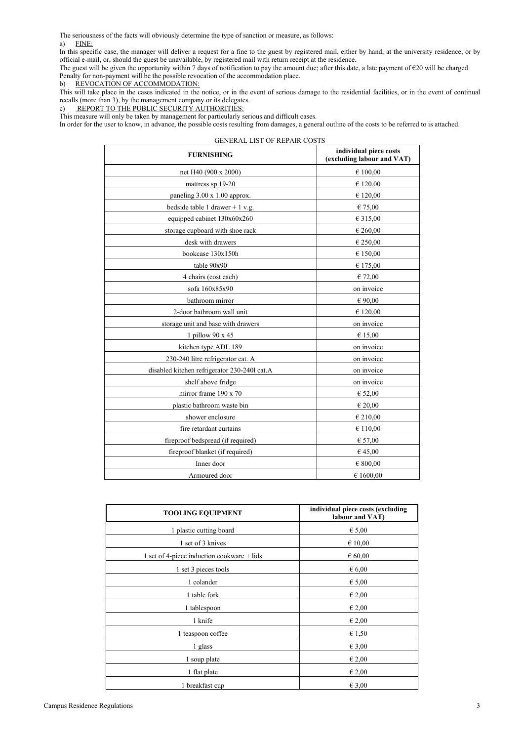The seriousness of the facts will obviously determine the type of sanction or measure, as follows: a) FINE:

In this specific case, the manager will deliver a request for a fine to the guest by registered mail, either by hand, at the university residence, or by official e-mail, or, should the guest be unavailable, by registered mail with return receipt at the residence.

The guest will be given the opportunity within 7 days of notification to pay the amount due; after this date, a late payment of  $\epsilon$ 20 will be charged. Penalty for non-payment will be the possible revocation of the accommodation place.<br>b) REVOCATION OF ACCOMMODATION:

REVOCATION OF ACCOMMODATION:

This will take place in the cases indicated in the notice, or in the event of serious damage to the residential facilities, or in the event of continual recalls (more than 3), by the management company or its delegates.

c) REPORT TO THE PUBLIC SECURITY AUTHORITIES:

This measure will only be taken by management for particularly serious and difficult cases.

In order for the user to know, in advance, the possible costs resulting from damages, a general outline of the costs to be referred to is attached.

| <b>GENERAL LIST OF REPAIR COSTS</b>          |                                                      |  |
|----------------------------------------------|------------------------------------------------------|--|
| <b>FURNISHING</b>                            | individual piece costs<br>(excluding labour and VAT) |  |
| net H40 (900 x 2000)                         | € 100,00                                             |  |
| mattress sp 19-20                            | € 120,00                                             |  |
| paneling $3.00 \times 1.00$ approx.          | € 120,00                                             |  |
| bedside table 1 drawer + $1 v.g.$            | € 75,00                                              |  |
| equipped cabinet 130x60x260                  | € 315,00                                             |  |
| storage cupboard with shoe rack              | € 260,00                                             |  |
| desk with drawers                            | € 250,00                                             |  |
| bookcase 130x150h                            | € 150,00                                             |  |
| table 90x90                                  | € 175,00                                             |  |
| 4 chairs (cost each)                         | € 72,00                                              |  |
| sofa 160x85x90                               | on invoice                                           |  |
| bathroom mirror                              | € 90,00                                              |  |
| 2-door bathroom wall unit                    | € 120,00                                             |  |
| storage unit and base with drawers           | on invoice                                           |  |
| 1 pillow 90 x 45                             | € 15,00                                              |  |
| kitchen type ADL 189                         | on invoice                                           |  |
| 230-240 litre refrigerator cat. A            | on invoice                                           |  |
| disabled kitchen refrigerator 230-2401 cat.A | on invoice                                           |  |
| shelf above fridge                           | on invoice                                           |  |
| mirror frame 190 x 70                        | € 52,00                                              |  |
| plastic bathroom waste bin                   | € 20,00                                              |  |
| shower enclosure                             | € 210,00                                             |  |
| fire retardant curtains                      | € 110,00                                             |  |
| fireproof bedspread (if required)            | € 57,00                                              |  |
| fireproof blanket (if required)              | €45,00                                               |  |
| Inner door                                   | € 800,00                                             |  |
| Armoured door                                | € 1600.00                                            |  |

| <b>TOOLING EQUIPMENT</b>                   | individual piece costs (excluding<br>labour and VAT) |
|--------------------------------------------|------------------------------------------------------|
| 1 plastic cutting board                    | $\epsilon$ 5,00                                      |
| 1 set of 3 knives                          | $\epsilon$ 10,00                                     |
| 1 set of 4-piece induction cookware + lids | 60,00                                                |
| 1 set 3 pieces tools                       | $\epsilon$ 6,00                                      |
| 1 colander                                 | $\epsilon$ 5,00                                      |
| 1 table fork                               | $\epsilon$ 2,00                                      |
| 1 tablespoon                               | $\epsilon$ 2,00                                      |
| 1 knife                                    | $\epsilon$ 2,00                                      |
| 1 teaspoon coffee                          | $\epsilon$ 1,50                                      |
| 1 glass                                    | $\epsilon$ 3,00                                      |
| 1 soup plate                               | $\epsilon$ 2,00                                      |
| 1 flat plate                               | $\epsilon$ 2,00                                      |
| 1 breakfast cup                            | $\epsilon$ 3,00                                      |